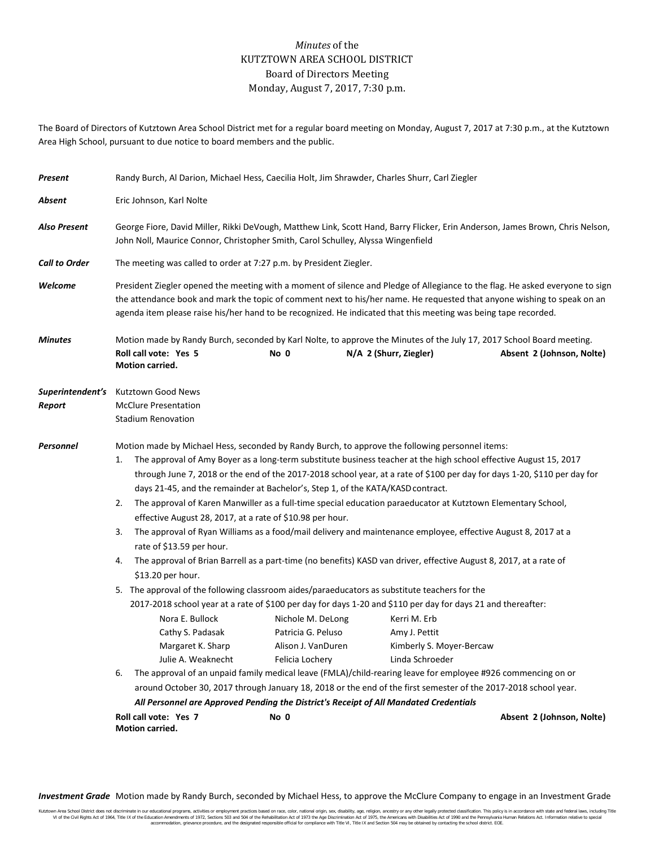## *Minutes* of the KUTZTOWN AREA SCHOOL DISTRICT Board of Directors Meeting Monday, August 7, 2017, 7:30 p.m.

The Board of Directors of Kutztown Area School District met for a regular board meeting on Monday, August 7, 2017 at 7:30 p.m., at the Kutztown Area High School, pursuant to due notice to board members and the public.

| Present                    | Randy Burch, Al Darion, Michael Hess, Caecilia Holt, Jim Shrawder, Charles Shurr, Carl Ziegler                                                                                                                                                                                                                                                                                                                                                                                                                                                                                                                                                                                                                                                                                                                                                                                                                                                                                                                                                                                                                                                                                                                                                                                                                                                                                                                                                                                                                                                                                                                                                                                                                                                                                                                               |  |                        |                           |  |
|----------------------------|------------------------------------------------------------------------------------------------------------------------------------------------------------------------------------------------------------------------------------------------------------------------------------------------------------------------------------------------------------------------------------------------------------------------------------------------------------------------------------------------------------------------------------------------------------------------------------------------------------------------------------------------------------------------------------------------------------------------------------------------------------------------------------------------------------------------------------------------------------------------------------------------------------------------------------------------------------------------------------------------------------------------------------------------------------------------------------------------------------------------------------------------------------------------------------------------------------------------------------------------------------------------------------------------------------------------------------------------------------------------------------------------------------------------------------------------------------------------------------------------------------------------------------------------------------------------------------------------------------------------------------------------------------------------------------------------------------------------------------------------------------------------------------------------------------------------------|--|------------------------|---------------------------|--|
| Absent                     | Eric Johnson, Karl Nolte                                                                                                                                                                                                                                                                                                                                                                                                                                                                                                                                                                                                                                                                                                                                                                                                                                                                                                                                                                                                                                                                                                                                                                                                                                                                                                                                                                                                                                                                                                                                                                                                                                                                                                                                                                                                     |  |                        |                           |  |
| <b>Also Present</b>        | George Fiore, David Miller, Rikki DeVough, Matthew Link, Scott Hand, Barry Flicker, Erin Anderson, James Brown, Chris Nelson,<br>John Noll, Maurice Connor, Christopher Smith, Carol Schulley, Alyssa Wingenfield                                                                                                                                                                                                                                                                                                                                                                                                                                                                                                                                                                                                                                                                                                                                                                                                                                                                                                                                                                                                                                                                                                                                                                                                                                                                                                                                                                                                                                                                                                                                                                                                            |  |                        |                           |  |
| <b>Call to Order</b>       | The meeting was called to order at 7:27 p.m. by President Ziegler.                                                                                                                                                                                                                                                                                                                                                                                                                                                                                                                                                                                                                                                                                                                                                                                                                                                                                                                                                                                                                                                                                                                                                                                                                                                                                                                                                                                                                                                                                                                                                                                                                                                                                                                                                           |  |                        |                           |  |
| Welcome                    | President Ziegler opened the meeting with a moment of silence and Pledge of Allegiance to the flag. He asked everyone to sign<br>the attendance book and mark the topic of comment next to his/her name. He requested that anyone wishing to speak on an<br>agenda item please raise his/her hand to be recognized. He indicated that this meeting was being tape recorded.                                                                                                                                                                                                                                                                                                                                                                                                                                                                                                                                                                                                                                                                                                                                                                                                                                                                                                                                                                                                                                                                                                                                                                                                                                                                                                                                                                                                                                                  |  |                        |                           |  |
| Minutes                    | Motion made by Randy Burch, seconded by Karl Nolte, to approve the Minutes of the July 17, 2017 School Board meeting.<br>Roll call vote: Yes 5<br>No 0<br>Motion carried.                                                                                                                                                                                                                                                                                                                                                                                                                                                                                                                                                                                                                                                                                                                                                                                                                                                                                                                                                                                                                                                                                                                                                                                                                                                                                                                                                                                                                                                                                                                                                                                                                                                    |  | N/A 2 (Shurr, Ziegler) | Absent 2 (Johnson, Nolte) |  |
| Superintendent's<br>Report | Kutztown Good News<br><b>McClure Presentation</b><br><b>Stadium Renovation</b>                                                                                                                                                                                                                                                                                                                                                                                                                                                                                                                                                                                                                                                                                                                                                                                                                                                                                                                                                                                                                                                                                                                                                                                                                                                                                                                                                                                                                                                                                                                                                                                                                                                                                                                                               |  |                        |                           |  |
| Personnel                  | Motion made by Michael Hess, seconded by Randy Burch, to approve the following personnel items:<br>The approval of Amy Boyer as a long-term substitute business teacher at the high school effective August 15, 2017<br>1.<br>through June 7, 2018 or the end of the 2017-2018 school year, at a rate of \$100 per day for days 1-20, \$110 per day for<br>days 21-45, and the remainder at Bachelor's, Step 1, of the KATA/KASD contract.<br>The approval of Karen Manwiller as a full-time special education paraeducator at Kutztown Elementary School,<br>2.<br>effective August 28, 2017, at a rate of \$10.98 per hour.<br>The approval of Ryan Williams as a food/mail delivery and maintenance employee, effective August 8, 2017 at a<br>3.<br>rate of \$13.59 per hour.<br>The approval of Brian Barrell as a part-time (no benefits) KASD van driver, effective August 8, 2017, at a rate of<br>4.<br>\$13.20 per hour.<br>5. The approval of the following classroom aides/paraeducators as substitute teachers for the<br>2017-2018 school year at a rate of \$100 per day for days 1-20 and \$110 per day for days 21 and thereafter:<br>Nora E. Bullock<br>Nichole M. DeLong<br>Kerri M. Erb<br>Cathy S. Padasak<br>Patricia G. Peluso<br>Amy J. Pettit<br>Margaret K. Sharp<br>Alison J. VanDuren<br>Kimberly S. Moyer-Bercaw<br>Julie A. Weaknecht<br>Linda Schroeder<br>Felicia Lochery<br>6.<br>The approval of an unpaid family medical leave (FMLA)/child-rearing leave for employee #926 commencing on or<br>around October 30, 2017 through January 18, 2018 or the end of the first semester of the 2017-2018 school year.<br>All Personnel are Approved Pending the District's Receipt of All Mandated Credentials<br>Roll call vote: Yes 7<br>No 0<br>Absent 2 (Johnson, Nolte)<br>Motion carried. |  |                        |                           |  |

*Investment Grade* Motion made by Randy Burch, seconded by Michael Hess, to approve the McClure Company to engage in an Investment Grade